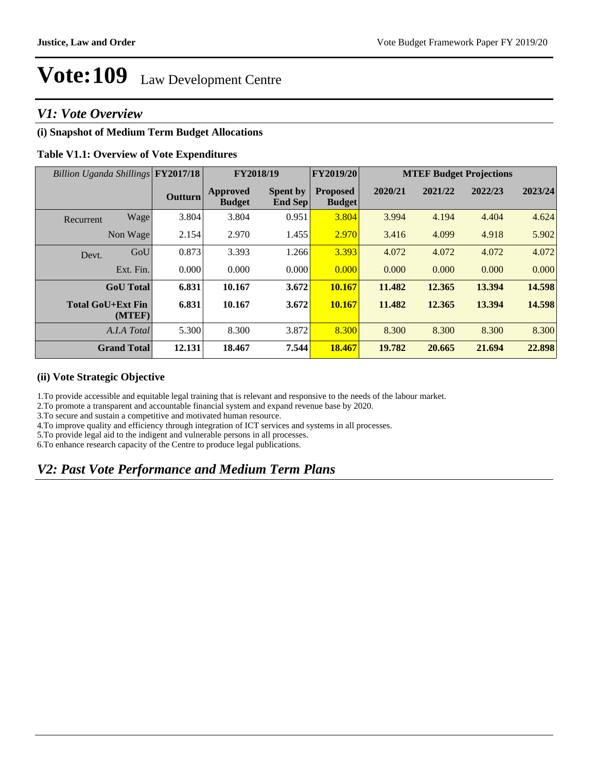### *V1: Vote Overview*

### **(i) Snapshot of Medium Term Budget Allocations**

#### **Table V1.1: Overview of Vote Expenditures**

| Billion Uganda Shillings FY2017/18 |                    |                | FY2018/19                 |                                   | FY2019/20                        | <b>MTEF Budget Projections</b> |         |         |         |
|------------------------------------|--------------------|----------------|---------------------------|-----------------------------------|----------------------------------|--------------------------------|---------|---------|---------|
|                                    |                    | <b>Outturn</b> | Approved<br><b>Budget</b> | <b>Spent by</b><br><b>End Sep</b> | <b>Proposed</b><br><b>Budget</b> | 2020/21                        | 2021/22 | 2022/23 | 2023/24 |
| Recurrent                          | Wage               | 3.804          | 3.804                     | 0.951                             | 3.804                            | 3.994                          | 4.194   | 4.404   | 4.624   |
|                                    | Non Wage           | 2.154          | 2.970                     | 1.455                             | 2.970                            | 3.416                          | 4.099   | 4.918   | 5.902   |
| Devt.                              | GoU                | 0.873          | 3.393                     | 1.266                             | 3.393                            | 4.072                          | 4.072   | 4.072   | 4.072   |
|                                    | Ext. Fin.          | 0.000          | 0.000                     | 0.000                             | 0.000                            | 0.000                          | 0.000   | 0.000   | 0.000   |
|                                    | <b>GoU</b> Total   | 6.831          | 10.167                    | 3.672                             | 10.167                           | 11.482                         | 12.365  | 13.394  | 14.598  |
| <b>Total GoU+Ext Fin</b>           | (MTEF)             | 6.831          | 10.167                    | 3.672                             | 10.167                           | 11.482                         | 12.365  | 13.394  | 14.598  |
|                                    | A.I.A Total        | 5.300          | 8.300                     | 3.872                             | 8.300                            | 8.300                          | 8.300   | 8.300   | 8.300   |
|                                    | <b>Grand Total</b> | 12.131         | 18.467                    | 7.544                             | 18.467                           | 19.782                         | 20.665  | 21.694  | 22.898  |

#### **(ii) Vote Strategic Objective**

1.To provide accessible and equitable legal training that is relevant and responsive to the needs of the labour market.

2.To promote a transparent and accountable financial system and expand revenue base by 2020.

3.To secure and sustain a competitive and motivated human resource.

4.To improve quality and efficiency through integration of ICT services and systems in all processes.

5.To provide legal aid to the indigent and vulnerable persons in all processes.

6.To enhance research capacity of the Centre to produce legal publications.

## *V2: Past Vote Performance and Medium Term Plans*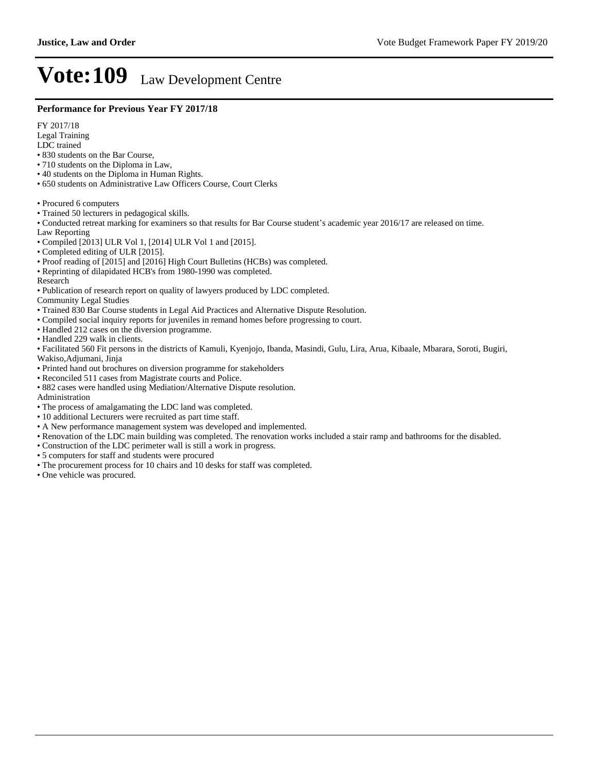#### **Performance for Previous Year FY 2017/18**

FY 2017/18

- Legal Training
- LDC trained
- 830 students on the Bar Course,
- 710 students on the Diploma in Law,
- 40 students on the Diploma in Human Rights.
- 650 students on Administrative Law Officers Course, Court Clerks
- Procured 6 computers
- Trained 50 lecturers in pedagogical skills.
- Conducted retreat marking for examiners so that results for Bar Course student's academic year 2016/17 are released on time.
- Law Reporting
- Compiled [2013] ULR Vol 1, [2014] ULR Vol 1 and [2015].
- Completed editing of ULR [2015].
- Proof reading of [2015] and [2016] High Court Bulletins (HCBs) was completed.
- Reprinting of dilapidated HCB's from 1980-1990 was completed.

Research

Publication of research report on quality of lawyers produced by LDC completed.

Community Legal Studies

- Trained 830 Bar Course students in Legal Aid Practices and Alternative Dispute Resolution.
- Compiled social inquiry reports for juveniles in remand homes before progressing to court.
- Handled 212 cases on the diversion programme.
- Handled 229 walk in clients.
- Facilitated 560 Fit persons in the districts of Kamuli, Kyenjojo, Ibanda, Masindi, Gulu, Lira, Arua, Kibaale, Mbarara, Soroti, Bugiri, Wakiso,Adjumani, Jinja
- Printed hand out brochures on diversion programme for stakeholders
- Reconciled 511 cases from Magistrate courts and Police.
- 882 cases were handled using Mediation/Alternative Dispute resolution.

Administration

- The process of amalgamating the LDC land was completed.
- 10 additional Lecturers were recruited as part time staff.
- A New performance management system was developed and implemented.
- Renovation of the LDC main building was completed. The renovation works included a stair ramp and bathrooms for the disabled.
- Construction of the LDC perimeter wall is still a work in progress.
- 5 computers for staff and students were procured
- The procurement process for 10 chairs and 10 desks for staff was completed.
- One vehicle was procured.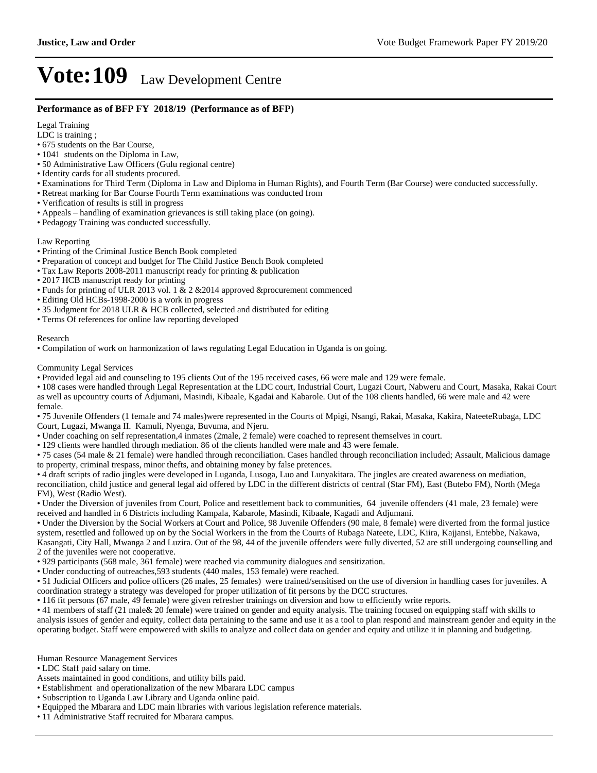#### **Performance as of BFP FY 2018/19 (Performance as of BFP)**

Legal Training

LDC is training ;

- 675 students on the Bar Course,
- 1041 students on the Diploma in Law,
- 50 Administrative Law Officers (Gulu regional centre)
- Identity cards for all students procured.
- Examinations for Third Term (Diploma in Law and Diploma in Human Rights), and Fourth Term (Bar Course) were conducted successfully.
- Retreat marking for Bar Course Fourth Term examinations was conducted from
- Verification of results is still in progress
- Appeals handling of examination grievances is still taking place (on going).
- Pedagogy Training was conducted successfully.

#### Law Reporting

- Printing of the Criminal Justice Bench Book completed
- Preparation of concept and budget for The Child Justice Bench Book completed
- Tax Law Reports 2008-2011 manuscript ready for printing & publication
- 2017 HCB manuscript ready for printing
- Funds for printing of ULR 2013 vol. 1  $\&$  2  $\&$  2014 approved  $\&$  procurement commenced
- Editing Old HCBs-1998-2000 is a work in progress
- 35 Judgment for 2018 ULR & HCB collected, selected and distributed for editing
- Terms Of references for online law reporting developed

#### Research

Compilation of work on harmonization of laws regulating Legal Education in Uganda is on going.

#### Community Legal Services

Provided legal aid and counseling to 195 clients Out of the 195 received cases, 66 were male and 129 were female.

108 cases were handled through Legal Representation at the LDC court, Industrial Court, Lugazi Court, Nabweru and Court, Masaka, Rakai Court as well as upcountry courts of Adjumani, Masindi, Kibaale, Kgadai and Kabarole. Out of the 108 clients handled, 66 were male and 42 were female.

75 Juvenile Offenders (1 female and 74 males)were represented in the Courts of Mpigi, Nsangi, Rakai, Masaka, Kakira, NateeteRubaga, LDC Court, Lugazi, Mwanga II. Kamuli, Nyenga, Buvuma, and Njeru.

Under coaching on self representation,4 inmates (2male, 2 female) were coached to represent themselves in court.

129 clients were handled through mediation. 86 of the clients handled were male and 43 were female.

75 cases (54 male & 21 female) were handled through reconciliation. Cases handled through reconciliation included; Assault, Malicious damage to property, criminal trespass, minor thefts, and obtaining money by false pretences.

4 draft scripts of radio jingles were developed in Luganda, Lusoga, Luo and Lunyakitara. The jingles are created awareness on mediation, reconciliation, child justice and general legal aid offered by LDC in the different districts of central (Star FM), East (Butebo FM), North (Mega FM), West (Radio West).

Under the Diversion of juveniles from Court, Police and resettlement back to communities, 64 juvenile offenders (41 male, 23 female) were received and handled in 6 Districts including Kampala, Kabarole, Masindi, Kibaale, Kagadi and Adjumani.

Under the Diversion by the Social Workers at Court and Police, 98 Juvenile Offenders (90 male, 8 female) were diverted from the formal justice system, resettled and followed up on by the Social Workers in the from the Courts of Rubaga Nateete, LDC, Kiira, Kajjansi, Entebbe, Nakawa, Kasangati, City Hall, Mwanga 2 and Luzira. Out of the 98, 44 of the juvenile offenders were fully diverted, 52 are still undergoing counselling and 2 of the juveniles were not cooperative.

929 participants (568 male, 361 female) were reached via community dialogues and sensitization.

Under conducting of outreaches,593 students (440 males, 153 female) were reached.

51 Judicial Officers and police officers (26 males, 25 females) were trained/sensitised on the use of diversion in handling cases for juveniles. A coordination strategy a strategy was developed for proper utilization of fit persons by the DCC structures.

116 fit persons (67 male, 49 female) were given refresher trainings on diversion and how to efficiently write reports.

41 members of staff (21 male& 20 female) were trained on gender and equity analysis. The training focused on equipping staff with skills to analysis issues of gender and equity, collect data pertaining to the same and use it as a tool to plan respond and mainstream gender and equity in the operating budget. Staff were empowered with skills to analyze and collect data on gender and equity and utilize it in planning and budgeting.

Human Resource Management Services

LDC Staff paid salary on time.

Assets maintained in good conditions, and utility bills paid.

Establishment and operationalization of the new Mbarara LDC campus

Subscription to Uganda Law Library and Uganda online paid.

- Equipped the Mbarara and LDC main libraries with various legislation reference materials.
- 11 Administrative Staff recruited for Mbarara campus.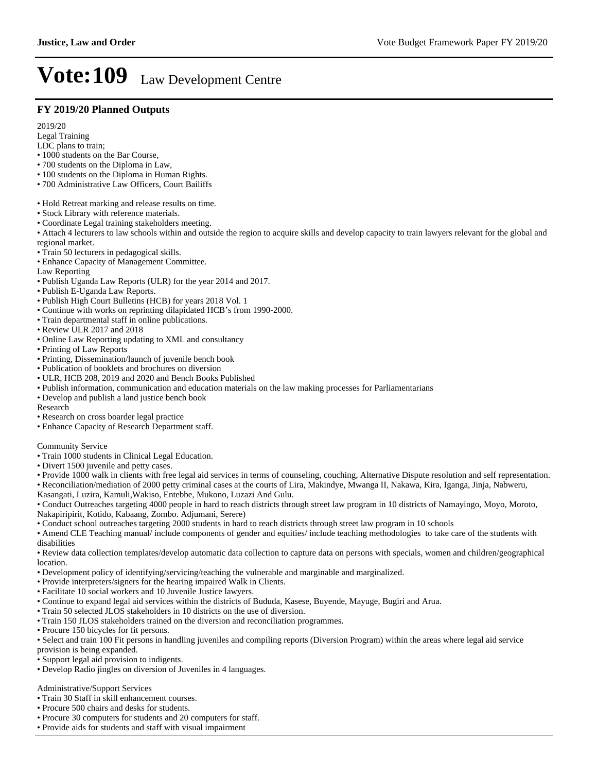#### **FY 2019/20 Planned Outputs**

2019/20

Legal Training

- LDC plans to train;
- 1000 students on the Bar Course,
- 700 students on the Diploma in Law,
- 100 students on the Diploma in Human Rights.
- 700 Administrative Law Officers, Court Bailiffs
- Hold Retreat marking and release results on time.
- Stock Library with reference materials.
- Coordinate Legal training stakeholders meeting.
- Attach 4 lecturers to law schools within and outside the region to acquire skills and develop capacity to train lawyers relevant for the global and regional market.
- Train 50 lecturers in pedagogical skills.
- Enhance Capacity of Management Committee.

Law Reporting

- Publish Uganda Law Reports (ULR) for the year 2014 and 2017.
- Publish E-Uganda Law Reports.
- Publish High Court Bulletins (HCB) for years 2018 Vol. 1
- Continue with works on reprinting dilapidated HCB's from 1990-2000.
- Train departmental staff in online publications.
- Review ULR 2017 and 2018
- Online Law Reporting updating to XML and consultancy
- Printing of Law Reports
- Printing, Dissemination/launch of juvenile bench book
- Publication of booklets and brochures on diversion
- ULR, HCB 208, 2019 and 2020 and Bench Books Published
- Publish information, communication and education materials on the law making processes for Parliamentarians
- Develop and publish a land justice bench book

Research

- Research on cross boarder legal practice
- Enhance Capacity of Research Department staff.

Community Service

- Train 1000 students in Clinical Legal Education.
- Divert 1500 juvenile and petty cases.
- Provide 1000 walk in clients with free legal aid services in terms of counseling, couching, Alternative Dispute resolution and self representation. Reconciliation/mediation of 2000 petty criminal cases at the courts of Lira, Makindye, Mwanga II, Nakawa, Kira, Iganga, Jinja, Nabweru,
- Kasangati, Luzira, Kamuli,Wakiso, Entebbe, Mukono, Luzazi And Gulu.
- Conduct Outreaches targeting 4000 people in hard to reach districts through street law program in 10 districts of Namayingo, Moyo, Moroto, Nakapiripirit, Kotido, Kabaang, Zombo. Adjumani, Serere)
- Conduct school outreaches targeting 2000 students in hard to reach districts through street law program in 10 schools
- Amend CLE Teaching manual/ include components of gender and equities/ include teaching methodologies to take care of the students with disabilities
- Review data collection templates/develop automatic data collection to capture data on persons with specials, women and children/geographical location.
- Development policy of identifying/servicing/teaching the vulnerable and marginable and marginalized.
- Provide interpreters/signers for the hearing impaired Walk in Clients.
- Facilitate 10 social workers and 10 Juvenile Justice lawyers.
- Continue to expand legal aid services within the districts of Bududa, Kasese, Buyende, Mayuge, Bugiri and Arua.
- Train 50 selected JLOS stakeholders in 10 districts on the use of diversion.
- Train 150 JLOS stakeholders trained on the diversion and reconciliation programmes.
- Procure 150 bicycles for fit persons.
- Select and train 100 Fit persons in handling juveniles and compiling reports (Diversion Program) within the areas where legal aid service provision is being expanded.
- Support legal aid provision to indigents.
- Develop Radio jingles on diversion of Juveniles in 4 languages.

#### Administrative/Support Services

- Train 30 Staff in skill enhancement courses.
- Procure 500 chairs and desks for students.
- Procure 30 computers for students and 20 computers for staff.
- Provide aids for students and staff with visual impairment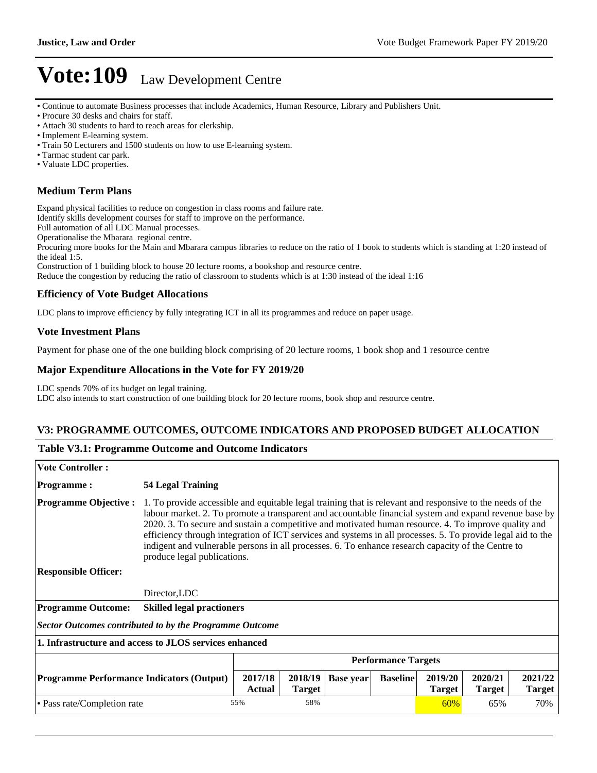Continue to automate Business processes that include Academics, Human Resource, Library and Publishers Unit.

- Attach 30 students to hard to reach areas for clerkship.
- Implement E-learning system.
- Train 50 Lecturers and 1500 students on how to use E-learning system.
- Tarmac student car park.
- Valuate LDC properties.

#### **Medium Term Plans**

Expand physical facilities to reduce on congestion in class rooms and failure rate.

Identify skills development courses for staff to improve on the performance.

Full automation of all LDC Manual processes. Operationalise the Mbarara regional centre.

Procuring more books for the Main and Mbarara campus libraries to reduce on the ratio of 1 book to students which is standing at 1:20 instead of the ideal 1:5.

Construction of 1 building block to house 20 lecture rooms, a bookshop and resource centre.

Reduce the congestion by reducing the ratio of classroom to students which is at 1:30 instead of the ideal 1:16

#### **Efficiency of Vote Budget Allocations**

LDC plans to improve efficiency by fully integrating ICT in all its programmes and reduce on paper usage.

#### **Vote Investment Plans**

Payment for phase one of the one building block comprising of 20 lecture rooms, 1 book shop and 1 resource centre

#### **Major Expenditure Allocations in the Vote for FY 2019/20**

LDC spends 70% of its budget on legal training.

LDC also intends to start construction of one building block for 20 lecture rooms, book shop and resource centre.

#### **V3: PROGRAMME OUTCOMES, OUTCOME INDICATORS AND PROPOSED BUDGET ALLOCATION**

#### **Table V3.1: Programme Outcome and Outcome Indicators**

| <b>Vote Controller:</b>                                        |                                                                                                                                                                                                                                                                                                                                                                                                                                                                                                                                                                                 |                          |                          |                  |                 |                          |                          |                          |
|----------------------------------------------------------------|---------------------------------------------------------------------------------------------------------------------------------------------------------------------------------------------------------------------------------------------------------------------------------------------------------------------------------------------------------------------------------------------------------------------------------------------------------------------------------------------------------------------------------------------------------------------------------|--------------------------|--------------------------|------------------|-----------------|--------------------------|--------------------------|--------------------------|
| <b>Programme:</b>                                              | 54 Legal Training                                                                                                                                                                                                                                                                                                                                                                                                                                                                                                                                                               |                          |                          |                  |                 |                          |                          |                          |
| <b>Programme Objective:</b>                                    | 1. To provide accessible and equitable legal training that is relevant and responsive to the needs of the<br>labour market. 2. To promote a transparent and accountable financial system and expand revenue base by<br>2020. 3. To secure and sustain a competitive and motivated human resource. 4. To improve quality and<br>efficiency through integration of ICT services and systems in all processes. 5. To provide legal aid to the<br>indigent and vulnerable persons in all processes. 6. To enhance research capacity of the Centre to<br>produce legal publications. |                          |                          |                  |                 |                          |                          |                          |
| <b>Responsible Officer:</b>                                    |                                                                                                                                                                                                                                                                                                                                                                                                                                                                                                                                                                                 |                          |                          |                  |                 |                          |                          |                          |
|                                                                | Director, LDC                                                                                                                                                                                                                                                                                                                                                                                                                                                                                                                                                                   |                          |                          |                  |                 |                          |                          |                          |
| <b>Programme Outcome:</b>                                      | <b>Skilled legal practioners</b>                                                                                                                                                                                                                                                                                                                                                                                                                                                                                                                                                |                          |                          |                  |                 |                          |                          |                          |
| <b>Sector Outcomes contributed to by the Programme Outcome</b> |                                                                                                                                                                                                                                                                                                                                                                                                                                                                                                                                                                                 |                          |                          |                  |                 |                          |                          |                          |
| 1. Infrastructure and access to JLOS services enhanced         |                                                                                                                                                                                                                                                                                                                                                                                                                                                                                                                                                                                 |                          |                          |                  |                 |                          |                          |                          |
|                                                                | <b>Performance Targets</b>                                                                                                                                                                                                                                                                                                                                                                                                                                                                                                                                                      |                          |                          |                  |                 |                          |                          |                          |
| <b>Programme Performance Indicators (Output)</b>               |                                                                                                                                                                                                                                                                                                                                                                                                                                                                                                                                                                                 | 2017/18<br><b>Actual</b> | 2018/19<br><b>Target</b> | <b>Base year</b> | <b>Baseline</b> | 2019/20<br><b>Target</b> | 2020/21<br><b>Target</b> | 2021/22<br><b>Target</b> |
| • Pass rate/Completion rate                                    |                                                                                                                                                                                                                                                                                                                                                                                                                                                                                                                                                                                 | 55%                      | 58%                      |                  |                 | 60%                      | 65%                      | 70%                      |
|                                                                |                                                                                                                                                                                                                                                                                                                                                                                                                                                                                                                                                                                 |                          |                          |                  |                 |                          |                          |                          |

Procure 30 desks and chairs for staff.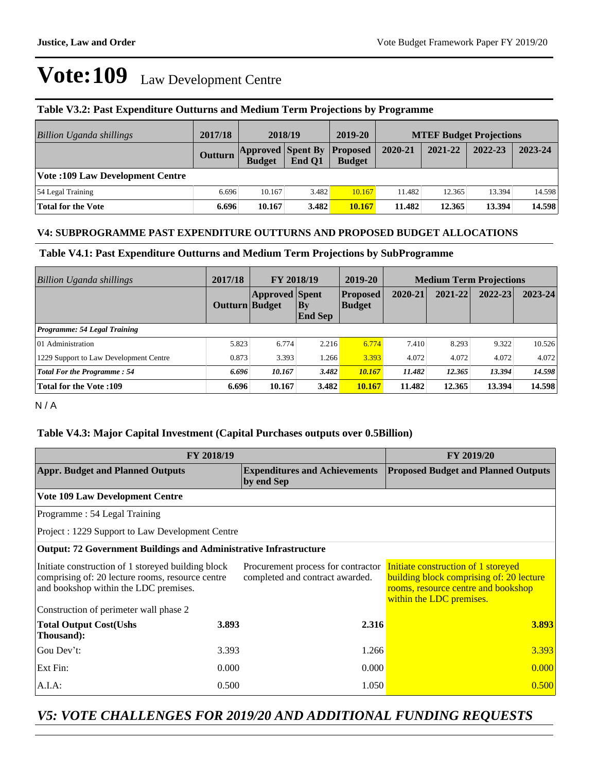#### **Table V3.2: Past Expenditure Outturns and Medium Term Projections by Programme**

| Billion Uganda shillings               | 2017/18 | 2018/19                                            |        | 2019-20       | <b>MTEF Budget Projections</b> |         |         |         |
|----------------------------------------|---------|----------------------------------------------------|--------|---------------|--------------------------------|---------|---------|---------|
|                                        | Outturn | <b>Approved Spent By Proposed</b><br><b>Budget</b> | End O1 | <b>Budget</b> | 2020-21                        | 2021-22 | 2022-23 | 2023-24 |
| <b>Vote:109 Law Development Centre</b> |         |                                                    |        |               |                                |         |         |         |
| 54 Legal Training                      | 6.696   | 10.167                                             | 3.482  | 10.167        | 11.482                         | 12.365  | 13.394  | 14.598  |
| <b>Total for the Vote</b>              | 6.696   | 10.167                                             | 3.482  | 10.167        | 11.482                         | 12.365  | 13.394  | 14.598  |

#### **V4: SUBPROGRAMME PAST EXPENDITURE OUTTURNS AND PROPOSED BUDGET ALLOCATIONS**

#### **Table V4.1: Past Expenditure Outturns and Medium Term Projections by SubProgramme**

| Billion Uganda shillings               | 2017/18        | <b>FY 2018/19</b>     |                             | 2019-20                          | <b>Medium Term Projections</b> |             |             |             |
|----------------------------------------|----------------|-----------------------|-----------------------------|----------------------------------|--------------------------------|-------------|-------------|-------------|
|                                        | Outturn Budget | <b>Approved</b> Spent | $\bf{By}$<br><b>End Sep</b> | <b>Proposed</b><br><b>Budget</b> | 2020-21                        | $2021 - 22$ | $2022 - 23$ | $2023 - 24$ |
| Programme: 54 Legal Training           |                |                       |                             |                                  |                                |             |             |             |
| 01 Administration                      | 5.823          | 6.774                 | 2.216                       | 6.774                            | 7.410                          | 8.293       | 9.322       | 10.526      |
| 1229 Support to Law Development Centre | 0.873          | 3.393                 | 1.266                       | 3.393                            | 4.072                          | 4.072       | 4.072       | 4.072       |
| <b>Total For the Programme: 54</b>     | 6.696          | 10.167                | 3.482                       | 10.167                           | 11.482                         | 12.365      | 13.394      | 14.598      |
| <b>Total for the Vote:109</b>          | 6.696          | 10.167                | 3.482                       | 10.167                           | 11.482                         | 12.365      | 13.394      | 14.598      |

N / A

### **Table V4.3: Major Capital Investment (Capital Purchases outputs over 0.5Billion)**

|                                                                                                                                                 | FY 2019/20 |                                                                       |                                                                                                                                                    |  |
|-------------------------------------------------------------------------------------------------------------------------------------------------|------------|-----------------------------------------------------------------------|----------------------------------------------------------------------------------------------------------------------------------------------------|--|
| <b>Appr. Budget and Planned Outputs</b>                                                                                                         |            | <b>Expenditures and Achievements</b><br>by end Sep                    | <b>Proposed Budget and Planned Outputs</b>                                                                                                         |  |
| <b>Vote 109 Law Development Centre</b>                                                                                                          |            |                                                                       |                                                                                                                                                    |  |
| Programme: 54 Legal Training                                                                                                                    |            |                                                                       |                                                                                                                                                    |  |
| Project : 1229 Support to Law Development Centre                                                                                                |            |                                                                       |                                                                                                                                                    |  |
| <b>Output: 72 Government Buildings and Administrative Infrastructure</b>                                                                        |            |                                                                       |                                                                                                                                                    |  |
| Initiate construction of 1 storeyed building block<br>comprising of: 20 lecture rooms, resource centre<br>and bookshop within the LDC premises. |            | Procurement process for contractor<br>completed and contract awarded. | Initiate construction of 1 storeyed<br>building block comprising of: 20 lecture<br>rooms, resource centre and bookshop<br>within the LDC premises. |  |
| Construction of perimeter wall phase 2                                                                                                          |            |                                                                       |                                                                                                                                                    |  |
| <b>Total Output Cost(Ushs</b><br>Thousand):                                                                                                     | 3.893      | 2.316                                                                 | 3.893                                                                                                                                              |  |
| Gou Dev't:                                                                                                                                      | 3.393      | 1.266                                                                 | 3.393                                                                                                                                              |  |
| Ext Fin:                                                                                                                                        | 0.000      | 0.000                                                                 | 0.000                                                                                                                                              |  |
| $A.I.A$ :                                                                                                                                       | 0.500      | 1.050                                                                 | 0.500                                                                                                                                              |  |

## *V5: VOTE CHALLENGES FOR 2019/20 AND ADDITIONAL FUNDING REQUESTS*